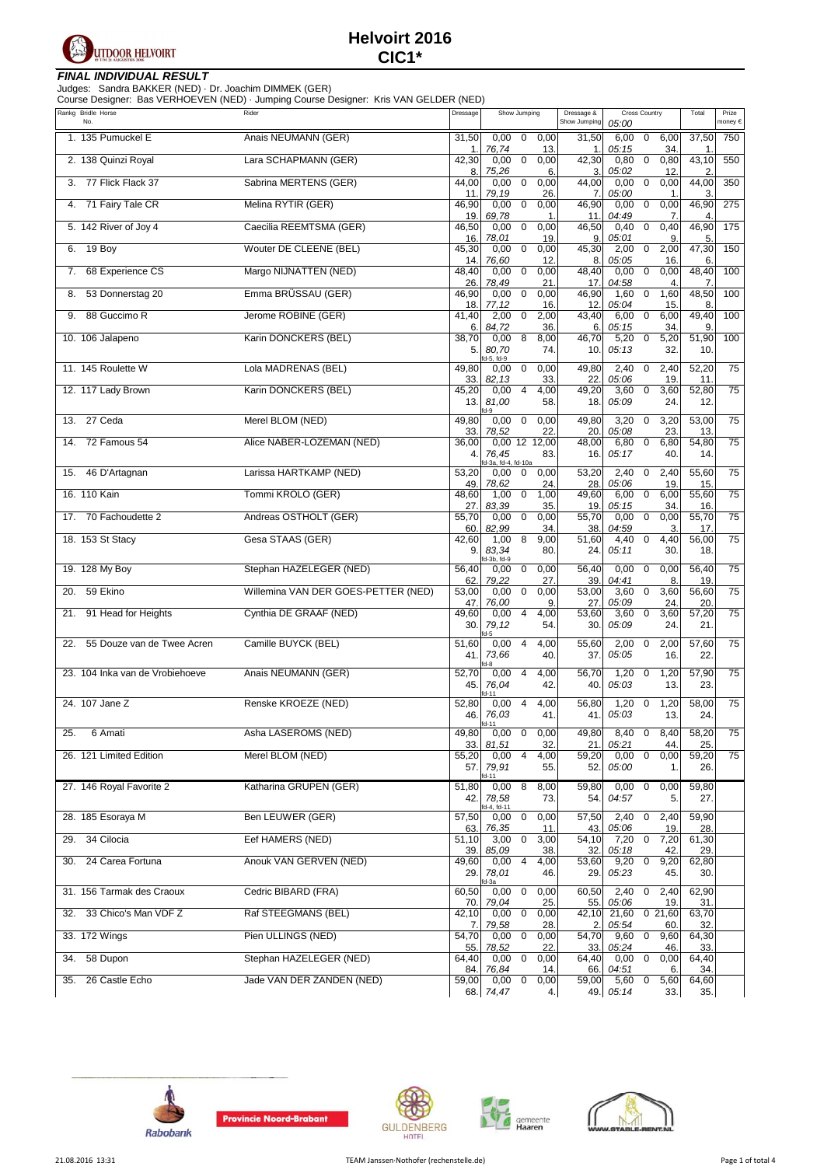

### **FINAL INDIVIDUAL RESULT**

Judges: Sandra BAKKER (NED) · Dr. Joachim DIMMEK (GER)

Course Designer: Bas VERHOEVEN (NED) · Jumping Course Designer: Kris VAN GELDER (NED)

| Rankg Bridle Horse<br>No.         | Rider                               | Dressage            | Show Jumping                                               | Dressage &<br>Show Jumping | Cross Country<br>05:00                                     | Total                            | Prize<br>money € |
|-----------------------------------|-------------------------------------|---------------------|------------------------------------------------------------|----------------------------|------------------------------------------------------------|----------------------------------|------------------|
| 1. 135 Pumuckel E                 | Anais NEUMANN (GER)                 | 31,50<br>1.         | 0,00<br>$\mathbf 0$<br>0,00<br>76,74<br>13.                | 31,50<br>1.                | $\mathbf 0$<br>6,00<br>6,00<br>05:15<br>34.                | 37,50<br>1                       | 750              |
| 2. 138 Quinzi Royal               | Lara SCHAPMANN (GER)                | 42,30<br>8.         | 0,00<br>0<br>0,00<br>75,26<br>6.                           | 42,30<br>3.                | $\mathbf 0$<br>0,80<br>0,80<br>05:02<br>12.                | 43,10<br>$\overline{2}$          | 550              |
| 77 Flick Flack 37<br>3.           | Sabrina MERTENS (GER)               | 44,00<br>11.        | $\mathbf 0$<br>0,00<br>0,00<br>79,19<br>26.                | 44,00<br>7.                | $\pmb{0}$<br>0,00<br>0,00<br>05:00<br>1                    | 44,00<br>3                       | 350              |
| 71 Fairy Tale CR<br>4.            | Melina RYTIR (GER)                  | 46,90<br>19.        | 0,00<br>0<br>0,00<br>69,78<br>$\mathbf{1}$                 | 46,90<br>11                | 0<br>0,00<br>0,00<br>04:49<br>7.                           | 46,90<br>$\overline{4}$          | 275              |
| 5. 142 River of Joy 4             | Caecilia REEMTSMA (GER)             | 46,50<br>16.        | $\mathbf 0$<br>0,00<br>0,00<br>78,01                       | 46,50                      | $\mathbf 0$<br>0,40<br>0,40<br>05:01                       | 46,90                            | 175              |
| 19 Boy<br>6.                      | Wouter DE CLEENE (BEL)              | 45,30               | 19.<br>0,00<br>0<br>0,00                                   | 9.<br>45,30                | 9.<br>2,00<br>2,00<br>0<br>05:05                           | 5.<br>47,30                      | 150              |
| 68 Experience CS<br>7.            | Margo NIJNATTEN (NED)               | 14.<br>48,40        | 76,60<br>12.<br>0,00<br>0<br>0,00                          | 8.<br>48,40                | 16<br>0<br>0,00<br>0,00                                    | 6<br>48,40                       | 100              |
| 53 Donnerstag 20<br>8.            | Emma BRÜSSAU (GER)                  | 26.<br>46,90        | 78,49<br>21<br>0,00<br>0<br>0,00                           | 17.<br>46,90               | 04:58<br>$\overline{4}$<br>$\mathbf 0$<br>1,60<br>1,60     | $\overline{7}$<br>48,50          | 100              |
| 88 Guccimo R<br>9.                | Jerome ROBINE (GER)                 | 18.<br>41,40        | 77,12<br>16.<br>2,00<br>2,00<br>0                          | 12.<br>43,40               | 05:04<br>15<br>6,00<br>0<br>6,00                           | 8<br>49,40                       | 100              |
| 10. 106 Jalapeno                  | Karin DONCKERS (BEL)                | 6.<br>38,70<br>5.   | 84,72<br>36.<br>8<br>8,00<br>0,00<br>80,70<br>74.          | 6.<br>46,70<br>10.         | 05:15<br>34<br>$\mathbf 0$<br>5,20<br>5,20<br>05:13<br>32  | 9.<br>51,90<br>10.               | 100              |
| 11. 145 Roulette W                | Lola MADRENAS (BEL)                 | 49,80               | d-5, fd-9<br>$\mathbf 0$<br>0,00<br>0,00                   | 49,80                      | 2,40<br>$\mathbf 0$<br>2,40                                | 52,20                            | 75               |
| 12. 117 Lady Brown                | Karin DONCKERS (BEL)                | 33.<br>45,20        | 82,13<br>33.<br>0,00<br>4<br>4,00                          | 22.<br>49,20               | 05:06<br>19.<br>$\mathbf 0$<br>3,60<br>3,60                | 11.<br>52,80                     | 75               |
|                                   |                                     | 13.1                | 81,00<br>58.<br>$fd-9$                                     | 18.                        | 05:09<br>24.                                               | 12.                              |                  |
| 27 Ceda<br>13.                    | Merel BLOM (NED)                    | 49,80<br>33.        | 0,00<br>0,00<br>0<br>22.<br>78,52                          | 49,80<br>20.               | 3,20<br>$\mathbf 0$<br>3,20<br>05:08<br>23.                | 53,00<br>13.                     | 75               |
| 72 Famous 54<br>14.               | Alice NABER-LOZEMAN (NED)           | 36,00<br>4.         | 0,00 12 12,00<br>76,45<br>83.                              | 48,00<br>16.               | $\mathbf 0$<br>6,80<br>6,80<br>05:17<br>40.                | 54,80<br>14.                     | 75               |
| 46 D'Artagnan<br>15.              | Larissa HARTKAMP (NED)              | 53,20               | fd-3a, fd-4, fd-10a<br>$\mathbf 0$<br>0,00<br>0,00         | 53,20                      | 2,40<br>0<br>2,40                                          | 55,60                            | 75               |
| 16. 110 Kain                      | Tommi KROLO (GER)                   | 49.<br>48,60        | 78,62<br>24.<br>1,00<br>0<br>1,00                          | 28.<br>49,60               | 05:06<br>19<br>$\mathbf 0$<br>6,00<br>6,00                 | 15<br>55,60                      | 75               |
| 17. 70 Fachoudette 2              | Andreas OSTHOLT (GER)               | 27.<br>55,70        | 83,39<br>35.<br>0,00<br>0<br>0,00                          | 19<br>55,70                | 05:15<br>34<br>$\mathbf 0$<br>0,00<br>0,00                 | 16.<br>55,70                     | 75               |
| 18. 153 St Stacy                  | Gesa STAAS (GER)                    | 60.<br>42,60<br>9.  | 82,99<br>34.<br>1,00<br>8<br>9,00<br>83,34<br>80.          | 38.<br>51,60<br>24.        | 04:59<br>3.<br>$\mathbf 0$<br>4,40<br>4,40<br>05:11<br>30. | 17.<br>56,00<br>18.              | 75               |
| 19. 128 My Boy                    | Stephan HAZELEGER (NED)             | 56,40               | d-3b, fd-9<br>0,00<br>0<br>0,00                            | 56,40                      | 0,00<br>0,00<br>0                                          | 56,40                            | 75               |
| 59 Ekino<br>20.                   | Willemina VAN DER GOES-PETTER (NED) | 62.<br>53,00        | 27.<br>79,22<br>0,00<br>0<br>0,00                          | 39.<br>53,00               | 04:41<br>8.<br>$\mathbf 0$<br>3,60<br>3,60                 | 19.<br>56,60                     | 75               |
| 91 Head for Heights<br>21.        | Cynthia DE GRAAF (NED)              | 47.<br>49,60<br>30. | 76,00<br>9.<br>0,00<br>4<br>4,00<br>79,12<br>54.           | 27.<br>53,60<br>30.        | 05:09<br>24<br>0<br>3,60<br>3,60<br>05:09<br>24.           | 20.<br>$\overline{57,20}$<br>21. | 75               |
| 55 Douze van de Twee Acren<br>22. | Camille BUYCK (BEL)                 | 51,60<br>41.        | fd-5<br>4,00<br>0,00<br>$\overline{4}$<br>73,66<br>40.     | 55,60<br>37.               | 2,00<br>$\mathbf 0$<br>2,00<br>05:05<br>16.                | 57,60<br>22.                     | 75               |
| 23. 104 Inka van de Vrobiehoeve   | Anais NEUMANN (GER)                 | 52,70<br>45.        | fd-8<br>4,00<br>0,00<br>4<br>76,04<br>42.                  | 56,70<br>40.               | 1,20<br>$\mathbf 0$<br>1,20<br>05:03<br>13.                | 57,90<br>23.                     | 75               |
| 24. 107 Jane Z                    | Renske KROEZE (NED)                 | 52,80<br>46.        | fd-11<br>4,00<br>0,00<br>$\overline{4}$<br>76,03<br>41.    | 56,80<br>41.               | 1,20<br>$\mathbf 0$<br>1,20<br>05:03<br>13.                | 58,00<br>24.                     | 75               |
| 25.<br>6 Amati                    | Asha LASEROMS (NED)                 | 49,80               | 0,00<br>$\mathbf 0$<br>0,00                                | 49,80                      | 8,40<br>0<br>8,40                                          | 58,20                            | 75               |
| 26. 121 Limited Edition           | Merel BLOM (NED)                    | 33.<br>55,20<br>57. | 32.<br>81,51<br>0,00<br>4<br>4,00<br>79,91<br>55.          | 21.<br>59,20<br>52.        | 05:21<br>44.<br>0,00<br>$\pmb{0}$<br>0,00<br>05:00<br>1.   | 25.<br>59,20<br>26.              | 75               |
| 27. 146 Royal Favorite 2          | Katharina GRUPEN (GER)              | 51,80               | fd-11<br>0,008<br>8,00                                     | 59,80                      | 0,00<br>$\mathbf 0$<br>0,00                                | 59,80                            |                  |
| 28. 185 Esoraya M                 | Ben LEUWER (GER)                    | 42.<br>57,50        | 78,58<br>73.<br>fd-4, fd-11<br>$\mathbf 0$<br>0,00<br>0,00 | 54.<br>57,50               | 04:57<br>5.<br>2,40<br>$\pmb{0}$<br>2,40                   | 27.<br>59,90                     |                  |
| 34 Cilocia<br>29.                 | Eef HAMERS (NED)                    | 63.<br>51,10        | 76,35<br>11.<br>3,00<br>$\mathbf 0$<br>3,00                | 43.<br>54,10               | 05:06<br>19.<br>$\mathbf 0$<br>7,20<br>7,20                | 28.<br>61,30                     |                  |
| 24 Carea Fortuna<br>30.           | Anouk VAN GERVEN (NED)              | 39.<br>49,60        | 85,09<br>38.<br>$\overline{4}$<br>0,00<br>4,00             | 32.<br>53,60               | 05:18<br>42.<br>$\overline{0}$<br>9,20<br>9,20             | 29.<br>62,80                     |                  |
|                                   |                                     | 29.                 | 78,01<br>46.<br>fd-3a                                      | 29.                        | 05:23<br>45.                                               | 30.                              |                  |
| 31. 156 Tarmak des Craoux         | Cedric BIBARD (FRA)                 | 60,50<br>70.        | 0,00<br>$\mathbf 0$<br>0,00<br>79,04<br>25.                | 60,50<br>55.               | 2,40<br>$\mathbf 0$<br>2,40<br>05:06<br>19.                | 62,90<br>31.                     |                  |
| 33 Chico's Man VDF Z<br>32.       | Raf STEEGMANS (BEL)                 | 42,10<br>7.         | 0,00<br>0<br>0,00<br>79,58<br>28.                          | 42,10<br>2.                | 21,60<br>0, 21, 60<br>05:54<br>60.                         | 63,70<br>32.                     |                  |
| 33. 172 Wings                     | Pien ULLINGS (NED)                  | 54,70<br>55.        | $0,000$ 0<br>0,00<br>78,52<br>22.                          | 54,70<br>33.               | 0<br>9,60<br>9,60<br>05:24<br>46                           | 64,30<br>33.                     |                  |
| 58 Dupon<br>34.                   | Stephan HAZELEGER (NED)             | 64,40<br>84. I      | 0,00<br>0<br>0,00<br>76,84<br>14.                          | 64,40<br>66.               | 0<br>0,00<br>0,00<br>04:51<br>6.                           | 64,40<br>34.                     |                  |
| 26 Castle Echo<br>35.             | Jade VAN DER ZANDEN (NED)           | 59,00               | 0,00<br>0<br>0,00<br>68. 74,47<br>4.                       | 59,00                      | 5,60<br>0<br>5,60<br>49. 05:14<br>33.                      | 64,60<br>35.                     |                  |









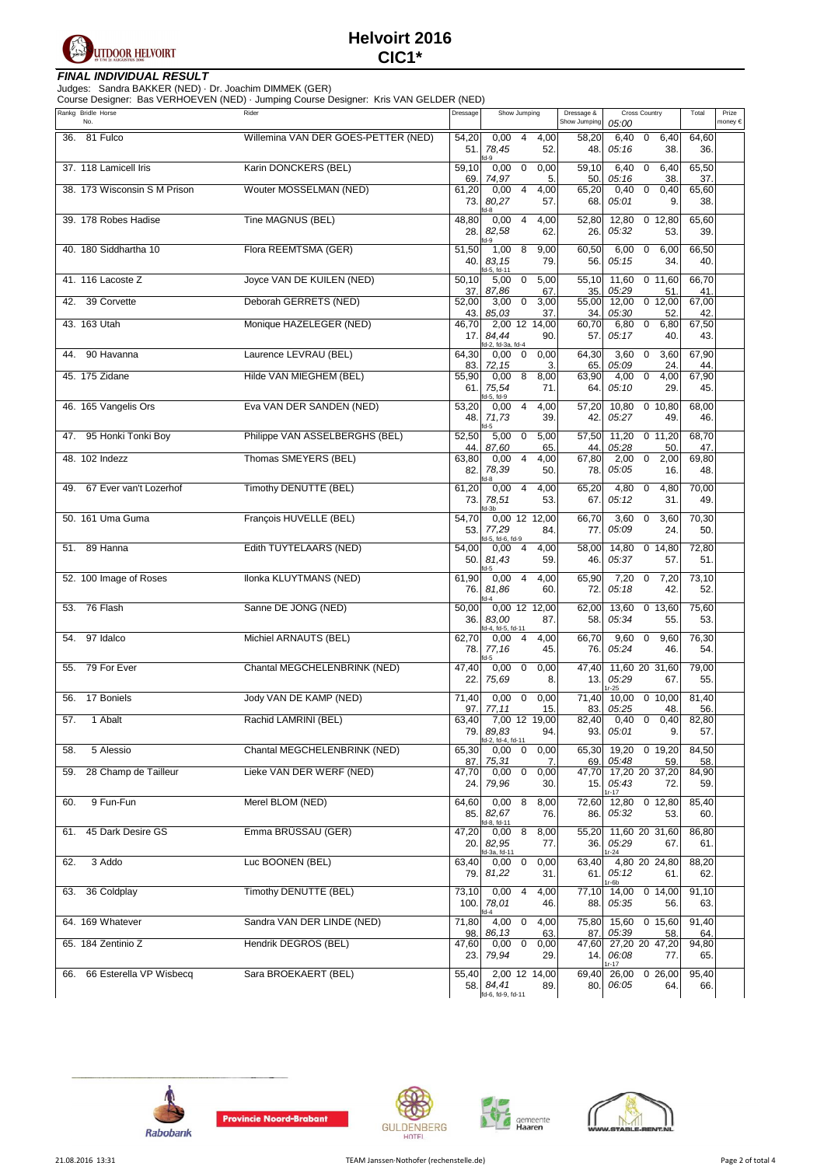

### **FINAL INDIVIDUAL RESULT**

Judges: Sandra BAKKER (NED) · Dr. Joachim DIMMEK (GER)

| Rankg Bridle Horse             | Course Designer: Bas VERHOEVEN (NED) · Jumping Course Designer: Kris VAN GELDER (NED)<br>Rider | Dressage            | Show Jumping                                                  | Dressage &            | Cross Country                                              | Total               | Prize   |
|--------------------------------|------------------------------------------------------------------------------------------------|---------------------|---------------------------------------------------------------|-----------------------|------------------------------------------------------------|---------------------|---------|
| No.<br>81 Fulco<br>36.         | Willemina VAN DER GOES-PETTER (NED)                                                            | 54,20               | 0,00<br>$\overline{4}$<br>4,00                                | Show Jumping<br>58,20 | 05:00<br>6,40<br>6,40<br>$\mathbf 0$                       | 64,60               | money € |
|                                |                                                                                                | 51.                 | 52.<br>78,45<br>$d-9$                                         | 48.                   | 05:16<br>38.                                               | 36.                 |         |
| 37. 118 Lamicell Iris          | Karin DONCKERS (BEL)                                                                           | 59,10<br>69.        | $\mathbf 0$<br>0,00<br>0,00<br>74,97<br>5.                    | 59,10<br>50.          | 6,40<br>$\mathbf 0$<br>6,40<br>05:16<br>38                 | 65,50<br>37.        |         |
| 38. 173 Wisconsin S M Prison   | Wouter MOSSELMAN (NED)                                                                         | 61,20<br>73.        | 0,00<br>4<br>4,00<br>80,27<br>57.<br>d-8                      | 65,20<br>68.          | 0<br>0,40<br>0,40<br>05:01<br>9.                           | 65,60<br>38.        |         |
| 39. 178 Robes Hadise           | Tine MAGNUS (BEL)                                                                              | 48,80<br>28.        | $\overline{4}$<br>4,00<br>0,00<br>82,58<br>62.<br>d-9         | 52,80<br>26.          | 12,80<br>0, 12, 80<br>05:32<br>53.                         | 65,60<br>39.        |         |
| 40. 180 Siddhartha 10          | Flora REEMTSMA (GER)                                                                           | 51,50<br>40.        | 8<br>1,00<br>9,00<br>83,15<br>79.                             | 60,50<br>56.          | 6,00<br>$\mathbf 0$<br>6,00<br>05:15<br>34.                | 66,50<br>40.        |         |
| 41. 116 Lacoste Z              | Joyce VAN DE KUILEN (NED)                                                                      | 50,10<br>37.        | d-5, fd-11<br>5,00<br>0<br>5,00<br>87,86<br>67.               | 55,10<br>35.          | 11,60<br>0 11,60<br>05:29<br>51.                           | 66,70<br>41         |         |
| 39 Corvette<br>42.             | Deborah GERRETS (NED)                                                                          | 52,00<br>43.        | 3,00<br>$\mathbf 0$<br>3,00<br>85,03<br>37                    | 55,00<br>34.          | 12,00<br>0, 12,00<br>05:30<br>52                           | 67,00<br>42         |         |
| 43. 163 Utah                   | Monique HAZELEGER (NED)                                                                        | 46,70<br>17.        | 2,00 12 14,00<br>84.44<br>90.                                 | 60,70<br>57.          | 6,80<br>0<br>6,80<br>05:17<br>40.                          | 67,50<br>43.        |         |
| 90 Havanna<br>44.              | Laurence LEVRAU (BEL)                                                                          | 64,30               | d-2, fd-3a, fd-4<br>0,00<br>0<br>0,00                         | 64,30                 | $\mathbf 0$<br>3,60<br>3,60                                | 67,90               |         |
| 45. 175 Zidane                 | Hilde VAN MIEGHEM (BEL)                                                                        | 83.<br>55,90<br>61. | 72,15<br>3.<br>0,00<br>8<br>8,00<br>75,54<br>71.              | 65.<br>63,90<br>64.   | 05:09<br>24.<br>4,00<br>0<br>4,00<br>05:10<br>29.          | 44<br>67,90<br>45.  |         |
| 46. 165 Vangelis Ors           | Eva VAN DER SANDEN (NED)                                                                       | 53,20<br>48.        | d-5, fd-9<br>0,00<br>4<br>4,00<br>39.<br>71,73                | 57,20<br>42.          | 10,80<br>0 10,80<br>05:27<br>49.                           | 68,00<br>46.        |         |
| 95 Honki Tonki Boy<br>47.      | Philippe VAN ASSELBERGHS (BEL)                                                                 | 52,50               | d-5<br>$\mathbf 0$<br>5,00<br>5,00                            | 57,50                 | 11,20<br>$0$ 11,20                                         | 68,70               |         |
| 48. 102 Indezz                 | Thomas SMEYERS (BEL)                                                                           | 44.<br>63,80<br>82. | 87,60<br>65<br>0,00<br>4<br>4,00<br>78,39<br>50.              | 44.<br>67,80<br>78.   | 05:28<br>50<br>$\mathbf 0$<br>2,00<br>2,00<br>05:05<br>16. | 47.<br>69,80<br>48. |         |
| 67 Ever van't Lozerhof<br>49.  | <b>Timothy DENUTTE (BEL)</b>                                                                   | 61,20<br>73.        | d-8<br>0,00<br>$\overline{4}$<br>4,00<br>78,51<br>53.         | 65,20<br>67.          | 4,80<br>0<br>4,80<br>05:12<br>31.                          | 70,00<br>49.        |         |
| 50. 161 Uma Guma               | François HUVELLE (BEL)                                                                         | 54,70<br>53.        | d-3b<br>0,00 12 12,00<br>77,29<br>84.                         | 66,70<br>77.          | 3,60<br>$\mathbf 0$<br>3,60<br>05:09<br>24.                | 70,30<br>50.        |         |
| 89 Hanna<br>51.                | Edith TUYTELAARS (NED)                                                                         | 54,00<br>50.        | d-5, fd-6, fd-9<br>4,00<br>0,00<br>4<br>81,43<br>59.          | 58,00<br>46.          | 14,80<br>0, 14, 80<br>05:37<br>57.                         | 72,80<br>51.        |         |
| 52. 100 Image of Roses         | Ilonka KLUYTMANS (NED)                                                                         | 61,90<br>76.        | 4,00<br>0,00<br>4<br>81,86<br>60.<br>fd-4                     | 65,90<br>72.          | 7,20<br>$\mathbf 0$<br>7,20<br>42.<br>05:18                | 73,10<br>52.        |         |
| 76 Flash<br>53.                | Sanne DE JONG (NED)                                                                            | 50,00<br>36.        | 0,00 12 12,00<br>83,00<br>87.                                 | 62,00<br>58.          | 13,60<br>0, 13, 60<br>05:34<br>55.                         | 75,60<br>53.        |         |
| 97 Idalco<br>54.               | Michiel ARNAUTS (BEL)                                                                          | 62,70<br>78.        | fd-4, fd-5, fd-11<br>0,00<br>4<br>4,00<br>77,16<br>45.<br>d-5 | 66,70<br>76.          | $\mathbf 0$<br>9,60<br>9,60<br>05:24<br>46.                | 76,30<br>54.        |         |
| 79 For Ever<br>55.             | Chantal MEGCHELENBRINK (NED)                                                                   | 47,40<br>22.        | 0,00<br>0<br>0,00<br>75,69<br>8.                              | 47,40<br>13.          | 11,60 20 31,60<br>05:29<br>67.<br>$1r-25$                  | 79,00<br>55.        |         |
| 17 Boniels<br>56.              | Jody VAN DE KAMP (NED)                                                                         | 71,40<br>97.        | 0,00<br>$\mathbf 0$<br>0,00<br>77,11<br>15.                   | 71,40<br>83.          | 0,10,00<br>10,00<br>05:25<br>48.                           | 81,40<br>56.        |         |
| 57.<br>1 Abalt                 | Rachid LAMRINI (BEL)                                                                           | 63,40<br>79.        | 7,00 12 19,00<br>89,83<br>94.                                 | 82,40<br>93.          | 0,40<br>$\mathbf{0}$<br>0,40<br>05:01<br>9.                | 82,80<br>57.        |         |
| 5 Alessio<br>58.               | Chantal MEGCHELENBRINK (NED)                                                                   | 65,30<br>87.        | fd-2, fd-4, fd-11<br>0,00<br>0,00<br>0<br>75,31<br>7.         | 65,30<br>69.          | 19,20<br>$0$ 19,20<br>05:48<br>59                          | 84,50<br>58.        |         |
| 28 Champ de Tailleur<br>59.    | Lieke VAN DER WERF (NED)                                                                       | 47,70<br>24.        | $0,00$ $0$<br>0,00<br>79,96<br>30.                            | 15.                   | 47,70 17,20 20 37,20<br>05:43<br>72.                       | 84,90<br>59.        |         |
| 9 Fun-Fun<br>60.               | Merel BLOM (NED)                                                                               | 64,60<br>85.        | 0,008<br>8,00<br>82,67<br>76.                                 | 86.                   | $1r - 17$<br>72,60 12,80<br>$0$ 12,80<br>05:32<br>53.      | 85,40<br>60.        |         |
| 45 Dark Desire GS<br>61.       | Emma BRÜSSAU (GER)                                                                             | 47,20<br>20.        | fd-8, fd-11<br>8<br>0,00<br>8,00<br>82,95<br>77.              | 55,20<br>36.          | 11,60 20 31,60<br>05:29<br>67.                             | 86,80<br>61.        |         |
| 3 Addo<br>62.                  | Luc BOONEN (BEL)                                                                               | 63,40<br>79.        | d-3a, fd-11<br>$\mathbf 0$<br>0,00<br>0,00<br>81,22<br>31.    | 63,40<br>61.          | $1r - 24$<br>4,80 20 24,80<br>05:12<br>61.                 | 88,20<br>62.        |         |
| 36 Coldplay<br>63.             | Timothy DENUTTE (BEL)                                                                          | 73,10<br>100.       | 0,00<br>$\overline{4}$<br>4,00<br>78,01<br>46.                | 77,10<br>88.          | 1r-6b<br>0, 14, 00<br>14,00<br>05:35<br>56.                | 91,10<br>63.        |         |
| 64. 169 Whatever               | Sandra VAN DER LINDE (NED)                                                                     | 71,80<br>98.        | 4,00 0<br>4,00<br>86,13<br>63.                                | 75,80<br>87.          | 15,60<br>0, 15, 60<br>05:39<br>58.                         | 91,40<br>64.        |         |
| 65. 184 Zentinio Z             | Hendrik DEGROS (BEL)                                                                           | 47,60<br>23.        | $\mathbf 0$<br>0,00<br>0,00<br>79,94<br>29.                   | 47,60                 | 27,20 20 47,20<br>14. 06:08<br>77.<br>Ir-17                | 94,80<br>65.        |         |
| 66 Esterella VP Wisbecq<br>66. | Sara BROEKAERT (BEL)                                                                           | 55,40<br>58.        | 2,00 12 14,00<br>84,41<br>89.<br>fd-6, fd-9, fd-11            | 69,40<br>80.          | 26,00<br>026,00<br>06:05<br>64.                            | 95,40<br>66.        |         |









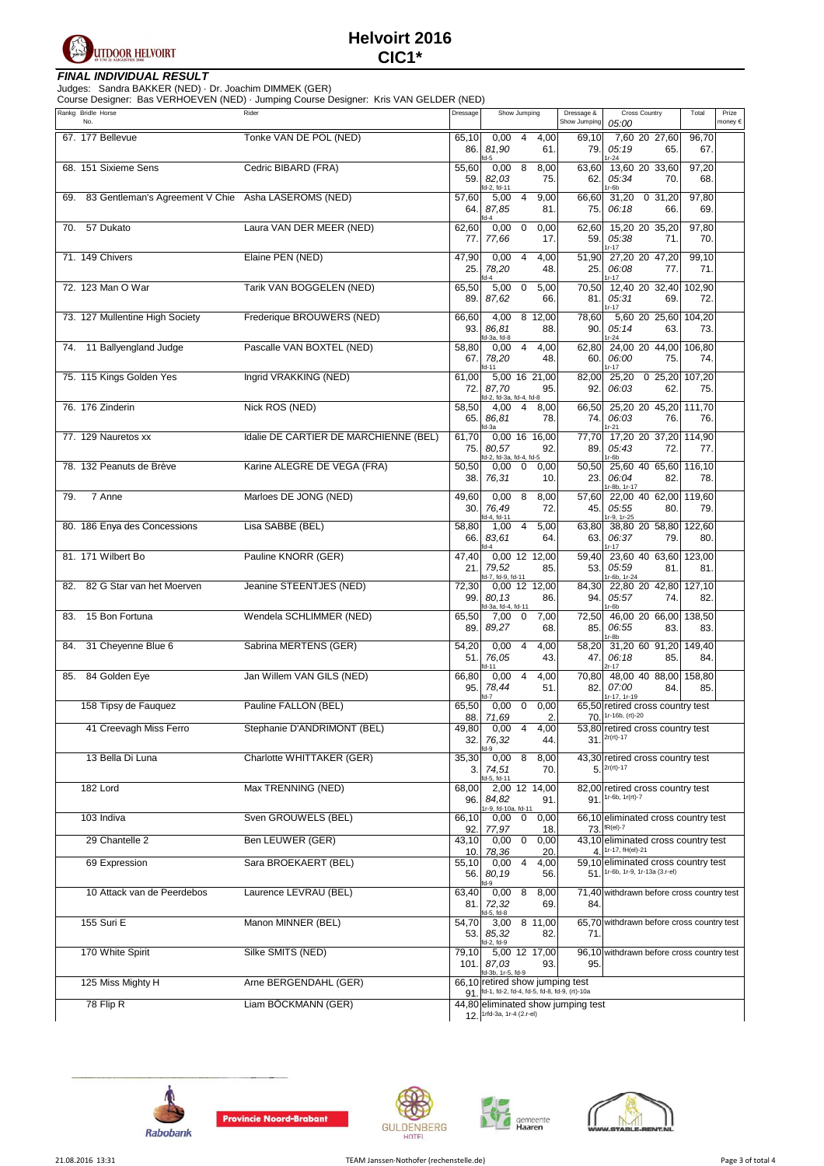

### **FINAL INDIVIDUAL RESULT**

The Sandra BAKKER (NED) - Dr. Joachim DIMMEK (GER)<br>Course Designer: Bas VERHOEVEN (NED) - Jumping Course Designer: Kris VAN GELDER (NED)

|     | Rankg Bridle Horse<br>No.                               | 5.41<br>Rider                         | Dressage            | Show Jumping                                                                                        | Dressage &<br>Show Jumping | Cross Country<br>05:00                                                                      | Total         | Prize<br>money € |
|-----|---------------------------------------------------------|---------------------------------------|---------------------|-----------------------------------------------------------------------------------------------------|----------------------------|---------------------------------------------------------------------------------------------|---------------|------------------|
|     | 67. 177 Bellevue                                        | Tonke VAN DE POL (NED)                | 65,10<br>86.        | $0,00$ 4<br>4,00<br>81,90<br>61.<br>fd-5                                                            | 69,10<br>79.               | 7,60 20 27,60<br>05:19<br>65.                                                               | 96,70<br>67.  |                  |
|     | 68. 151 Sixieme Sens                                    | Cedric BIBARD (FRA)                   | 55,60<br>59.        | 8<br>0,00<br>8,00<br>82,03<br>75.                                                                   | 63,60<br>62.               | $1r-24$<br>13,60 20 33,60<br>05:34<br>70.                                                   | 97,20<br>68.  |                  |
|     | 69. 83 Gentleman's Agreement V Chie Asha LASEROMS (NED) |                                       | 57,60<br>64.        | d-2, fd-11<br>9,00<br>5,00<br>4<br>87,85<br>81.                                                     | 66,60<br>75.               | 1r-6b<br>31,20<br>0, 31, 20<br>06:18<br>66.                                                 | 97,80<br>69.  |                  |
|     | 70. 57 Dukato                                           | Laura VAN DER MEER (NED)              | 62,60<br>77.        | $d-4$<br>$0,00 \quad 0$<br>0,00<br>17.<br>77,66                                                     | 62,60<br>59.1              | 15,20 20 35,20<br>05:38<br>71.<br>$1r - 17$                                                 | 97,80<br>70.  |                  |
|     | 71. 149 Chivers                                         | Elaine PEN (NED)                      | 47,90<br>25.        | 0,00<br>4<br>4,00<br>78,20<br>48.<br>$d-4$                                                          | 25.                        | 51,90 27,20 20 47,20<br>06:08<br>77.<br>1r-17                                               | 99,10<br>71.  |                  |
|     | 72. 123 Man O War                                       | Tarik VAN BOGGELEN (NED)              | 65,50<br>89.        | 5,00<br>$\mathbf 0$<br>5,00<br>87,62<br>66.                                                         | 70,50<br>81.               | 12,40 20 32,40<br>05:31<br>69.<br>$1r - 17$                                                 | 102,90<br>72. |                  |
|     | 73. 127 Mullentine High Society                         | Frederique BROUWERS (NED)             | 66,60<br>93.        | 4,00<br>8 12,00<br>86,81<br>88.<br>d-3a, fd-8                                                       | 78,60<br>90.               | 5,60 20 25,60<br>05:14<br>63.<br>1r-24                                                      | 104,20<br>73. |                  |
|     | 74. 11 Ballyengland Judge                               | Pascalle VAN BOXTEL (NED)             | 58,80<br>67.        | 4,00<br>4<br>0,00<br>78,20<br>48.<br>d-11                                                           | 62,80<br>60.               | 24,00 20 44,00<br>06:00<br>75.<br>$1r - 17$                                                 | 106,80<br>74. |                  |
|     | 75. 115 Kings Golden Yes                                | Ingrid VRAKKING (NED)                 | 61,00<br>72.        | 5,00 16 21,00<br>87,70<br>95.<br>d-2, fd-3a, fd-4, fd-8                                             | 82,00<br>92.1              | 25,20 0 25,20<br>06:03<br>62.                                                               | 107,20<br>75. |                  |
|     | 76. 176 Zinderin                                        | Nick ROS (NED)                        | 58,50<br>65.        | 4<br>8,00<br>4,00<br>86,81<br>78.<br>d-3a                                                           | 66,50<br>74.               | 25,20 20 45,20<br>06:03<br>76.<br>$1r-21$                                                   | 111,70<br>76. |                  |
|     | 77. 129 Nauretos xx                                     | Idalie DE CARTIER DE MARCHIENNE (BEL) | 61,70<br>75.        | 0,00 16 16,00<br>80,57<br>92.<br>id-2, fd-3a, fd-4, fd-5                                            | 77,70<br>89.               | 17,20 20 37,20 114,90<br>05:43<br>72.<br>1r-6b                                              | 77.           |                  |
|     | 78. 132 Peanuts de Brève                                | Karine ALEGRE DE VEGA (FRA)           | 50,50<br>38.        | $0,00 \quad 0$<br>0,00<br>76,31<br>10.                                                              | 50,50<br>23.               | 25,60 40 65,60<br>06:04<br>82.<br>1r-8b, 1r-17                                              | 116,10<br>78. |                  |
| 79. | 7 Anne                                                  | Marloes DE JONG (NED)                 | 49,60<br>30.        | 0,008<br>8,00<br>76,49<br>72.<br>d-4, fd-11                                                         | 57,60<br>45.               | 22,00 40 62,00<br>05:55<br>80.<br>1r-9, 1r-25                                               | 119,60<br>79. |                  |
|     | 80. 186 Enya des Concessions                            | Lisa SABBE (BEL)                      | 58,80<br>66.        | $\overline{4}$<br>5,00<br>1,00<br>83,61<br>64.<br>$d-4$                                             | 63,80<br>63.               | 38,80 20 58,80 122,60<br>06:37<br>79.<br>$1r - 17$                                          | 80.           |                  |
|     | 81. 171 Wilbert Bo                                      | Pauline KNORR (GER)                   | 47,40<br>21.        | 0,00 12 12,00<br>79,52<br>85.                                                                       | 59,40<br>53.               | 23,60 40 63,60<br>05:59<br>81.                                                              | 123,00<br>81. |                  |
|     | 82. 82 G Star van het Moerven                           | Jeanine STEENTJES (NED)               | 72,30<br>99.        | d-7, fd-9, fd-11<br>0,00 12 12,00<br>80,13<br>86.<br>d-3a, fd-4, fd-11                              | 84,30<br>94.               | 1r-6b, 1r-24<br>22,80 20 42,80<br>05:57<br>74.<br>1r-6b                                     | 127,10<br>82. |                  |
| 83. | 15 Bon Fortuna                                          | Wendela SCHLIMMER (NED)               | 65,50<br>89.        | 7,00<br>0<br>7,00<br>89,27<br>68.                                                                   | 72,50<br>85.               | 46,00 20 66,00<br>06:55<br>83.<br>1r-8b                                                     | 138,50<br>83. |                  |
| 84. | 31 Cheyenne Blue 6                                      | Sabrina MERTENS (GER)                 | 54,20<br>51.        | 0,00<br>$\overline{4}$<br>4,00<br>76,05<br>43.<br>$d-11$                                            | 58,20<br>47.               | 31,20 60 91,20<br>06:18<br>85.<br>$2r - 17$                                                 | 149,40<br>84. |                  |
|     | 85. 84 Golden Eye                                       | Jan Willem VAN GILS (NED)             | 66,80<br>95.        | $0,00$ 4<br>4,00<br>78,44<br>51.<br>$d-7$                                                           | 70,80<br>82.               | 48,00 40 88,00 158,80<br>07:00<br>84.<br>1r-17, 1r-19                                       | 85.           |                  |
|     | 158 Tipsy de Fauguez                                    | Pauline FALLON (BEL)                  | 65,50               | $\overline{0}$<br>0,00<br>0,00                                                                      |                            | 65,50 retired cross country test<br>$70.$ 1r-16b, (rt)-20                                   |               |                  |
|     | 41 Creevagh Miss Ferro                                  | Stephanie D'ANDRIMONT (BEL)           | 49,80<br>32.        | 88. 71,69<br>2.<br>0,00<br>4<br>4,00<br>76,32<br>44.                                                |                            | 53,80 retired cross country test<br>$31.$ $2r(rt) - 17$                                     |               |                  |
|     | 13 Bella Di Luna                                        | Charlotte WHITTAKER (GER)             | 35,30<br>3.         | $d-9$<br>8<br>8,00<br>0,00<br>74,51<br>70.                                                          |                            | 43,30 retired cross country test<br>$5.2r$ (rt)-17                                          |               |                  |
|     | 182 Lord                                                | Max TRENNING (NED)                    | 68,00<br>96.        | d-5, fd-11<br>2,00 12 14,00<br>84,82<br>91.                                                         |                            | 82,00 retired cross country test<br>$91.$ 1r-6b, 1r(rt)-7                                   |               |                  |
|     | 103 Indiva                                              | Sven GROUWELS (BEL)                   | 66,10<br>92.        | r-9, fd-10a, fd-11<br>0,00<br>0<br>0,00<br>77,97<br>18.                                             |                            | 66,10 eliminated cross country test<br>$73.$ fR(el)-7                                       |               |                  |
|     | 29 Chantelle 2                                          | Ben LEUWER (GER)                      | 43,10               | 0<br>0,00<br>0,00                                                                                   |                            | 43,10 eliminated cross country test                                                         |               |                  |
|     | 69 Expression                                           | Sara BROEKAERT (BEL)                  | 10.<br>55,10<br>56. | 78,36<br>20.<br>$0,00$ 4<br>4,00<br>80,19<br>56.                                                    | $\overline{4}$ .           | 1r-17, fH(el)-21<br>59,10 eliminated cross country test<br>51. 1r-6b, 1r-9, 1r-13a (3.r-el) |               |                  |
|     | 10 Attack van de Peerdebos                              | Laurence LEVRAU (BEL)                 | 63,40<br>81.        | $d-9$<br>0,00<br>8<br>8,00<br>69.<br>72,32                                                          | 84.                        | 71,40 withdrawn before cross country test                                                   |               |                  |
|     | 155 Suri E                                              | Manon MINNER (BEL)                    | 54,70<br>53.        | d-5, fd-8<br>8 11,00<br>3,00<br>85,32<br>82.                                                        | 71.                        | 65,70 withdrawn before cross country test                                                   |               |                  |
|     | 170 White Spirit                                        | Silke SMITS (NED)                     | 79,10<br>101.       | d-2, fd-9<br>5,00 12 17,00<br>93.<br>87,03                                                          | 95.                        | 96,10 withdrawn before cross country test                                                   |               |                  |
|     | 125 Miss Mighty H                                       | Arne BERGENDAHL (GER)                 | 91.                 | d-3b, 1r-5, fd-9<br>66,10 retired show jumping test<br>fd-1, fd-2, fd-4, fd-5, fd-8, fd-9, (rt)-10a |                            |                                                                                             |               |                  |
|     | 78 Flip R                                               | Liam BÖCKMANN (GER)                   | 12.                 | 44,80 eliminated show jumping test<br>1rfd-3a, 1r-4 (2.r-el)                                        |                            |                                                                                             |               |                  |



**Provincie Noord-Brabant**